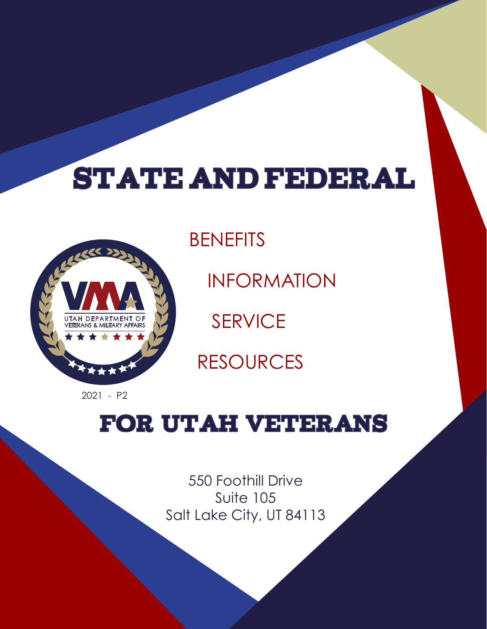# **STATE AND FEDERAL**



**BENEFITS** INFORMATION SERVICE RESOURCES

2021 - P2

# FOR UTAH VETERANS

550 Foothill Drive Suite 105 Salt Lake City, UT 84113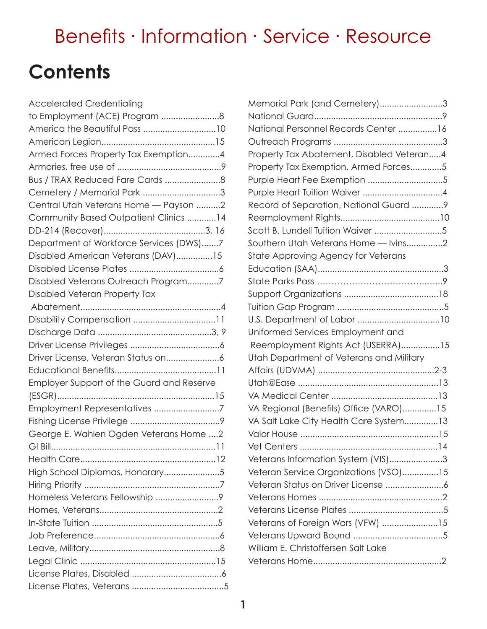# **Contents**

| <b>Accelerated Credentialing</b>          |
|-------------------------------------------|
| to Employment (ACE) Program 8             |
|                                           |
|                                           |
| Armed Forces Property Tax Exemption4      |
|                                           |
|                                           |
| Cemetery / Memorial Park 3                |
| Central Utah Veterans Home - Payson 2     |
| Community Based Outpatient Clinics 14     |
|                                           |
| Department of Workforce Services (DWS)7   |
| Disabled American Veterans (DAV)15        |
|                                           |
| Disabled Veterans Outreach Program7       |
| Disabled Veteran Property Tax             |
|                                           |
|                                           |
|                                           |
|                                           |
|                                           |
|                                           |
| Employer Support of the Guard and Reserve |
|                                           |
| Employment Representatives 7              |
|                                           |
| George E. Wahlen Ogden Veterans Home 2    |
|                                           |
|                                           |
| High School Diplomas, Honorary5           |
|                                           |
|                                           |
|                                           |
|                                           |
|                                           |
|                                           |
|                                           |
|                                           |
|                                           |

| Memorial Park (and Cemetery)3             |  |
|-------------------------------------------|--|
|                                           |  |
| National Personnel Records Center 16      |  |
|                                           |  |
| Property Tax Abatement, Disabled Veteran4 |  |
| Property Tax Exemption, Armed Forces5     |  |
|                                           |  |
|                                           |  |
| Record of Separation, National Guard 9    |  |
|                                           |  |
| Scott B. Lundell Tuition Waiver 5         |  |
| Southern Utah Veterans Home - Ivins2      |  |
| State Approving Agency for Veterans       |  |
|                                           |  |
|                                           |  |
|                                           |  |
|                                           |  |
|                                           |  |
| Uniformed Services Employment and         |  |
| Reemployment Rights Act (USERRA)15        |  |
| Utah Department of Veterans and Military  |  |
|                                           |  |
|                                           |  |
|                                           |  |
| VA Regional (Benefits) Office (VARO)15    |  |
| VA Salt Lake City Health Care System13    |  |
|                                           |  |
|                                           |  |
| Veterans Information System (VIS)3        |  |
| Veteran Service Organizations (VSO)15     |  |
|                                           |  |
|                                           |  |
|                                           |  |
| Veterans of Foreign Wars (VFW) 15         |  |
|                                           |  |
| William E. Christoffersen Salt Lake       |  |
|                                           |  |
|                                           |  |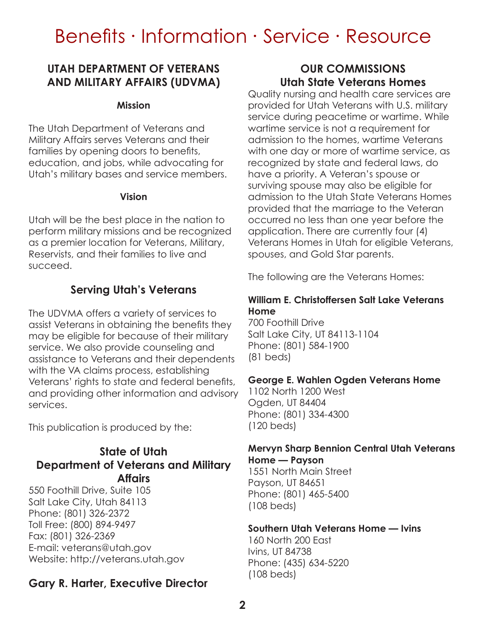# **UTAH DEPARTMENT OF VETERANS AND MILITARY AFFAIRS (UDVMA)**

#### **Mission**

The Utah Department of Veterans and Military Affairs serves Veterans and their families by opening doors to benefits, education, and jobs, while advocating for Utah's military bases and service members.

#### **Vision**

Utah will be the best place in the nation to perform military missions and be recognized as a premier location for Veterans, Military, Reservists, and their families to live and succeed.

### **Serving Utah's Veterans**

The UDVMA offers a variety of services to assist Veterans in obtaining the benefits they may be eligible for because of their military service. We also provide counseling and assistance to Veterans and their dependents with the VA claims process, establishing Veterans' rights to state and federal benefits, and providing other information and advisory services.

This publication is produced by the:

# **State of Utah Department of Veterans and Military Affairs**

550 Foothill Drive, Suite 105 Salt Lake City, Utah 84113 Phone: (801) 326-2372 Toll Free: (800) 894-9497 Fax: (801) 326-2369 E-mail: veterans@utah.gov Website: http://veterans.utah.gov

# **Gary R. Harter, Executive Director**

# **OUR COMMISSIONS Utah State Veterans Homes**

Quality nursing and health care services are provided for Utah Veterans with U.S. military service during peacetime or wartime. While wartime service is not a requirement for admission to the homes, wartime Veterans with one day or more of wartime service, as recognized by state and federal laws, do have a priority. A Veteran's spouse or surviving spouse may also be eligible for admission to the Utah State Veterans Homes provided that the marriage to the Veteran occurred no less than one year before the application. There are currently four (4) Veterans Homes in Utah for eligible Veterans, spouses, and Gold Star parents.

The following are the Veterans Homes:

#### **William E. Christoffersen Salt Lake Veterans Home**

700 Foothill Drive Salt Lake City, UT 84113-1104 Phone: (801) 584-1900 (81 beds)

#### **George E. Wahlen Ogden Veterans Home**

1102 North 1200 West Ogden, UT 84404 Phone: (801) 334-4300 (120 beds)

#### **Mervyn Sharp Bennion Central Utah Veterans Home — Payson**

1551 North Main Street Payson, UT 84651 Phone: (801) 465-5400 (108 beds)

#### **Southern Utah Veterans Home — Ivins**

160 North 200 East Ivins, UT 84738 Phone: (435) 634-5220 (108 beds)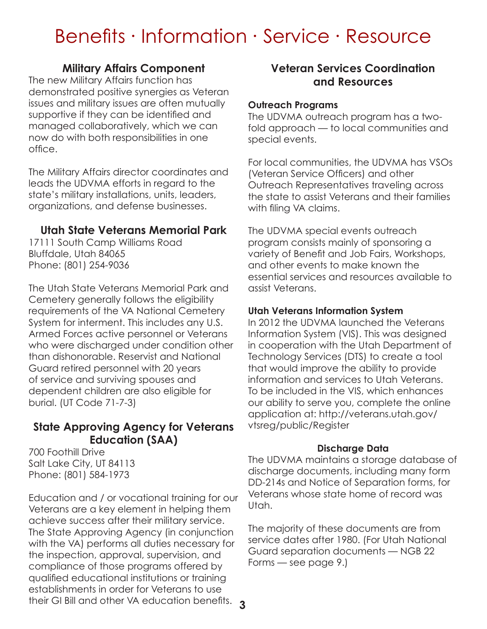### **Military Affairs Component**

The new Military Affairs function has demonstrated positive synergies as Veteran issues and military issues are often mutually supportive if they can be identified and managed collaboratively, which we can now do with both responsibilities in one office.

The Military Affairs director coordinates and leads the UDVMA efforts in regard to the state's military installations, units, leaders, organizations, and defense businesses.

### **Utah State Veterans Memorial Park**

17111 South Camp Williams Road Bluffdale, Utah 84065 Phone: (801) 254-9036

The Utah State Veterans Memorial Park and Cemetery generally follows the eligibility requirements of the VA National Cemetery System for interment. This includes any U.S. Armed Forces active personnel or Veterans who were discharged under condition other than dishonorable. Reservist and National Guard retired personnel with 20 years of service and surviving spouses and dependent children are also eligible for burial. (UT Code 71-7-3)

# **State Approving Agency for Veterans Education (SAA)**

700 Foothill Drive Salt Lake City, UT 84113 Phone: (801) 584-1973

Education and / or vocational training for our Veterans are a key element in helping them achieve success after their military service. The State Approving Agency (in conjunction with the VA) performs all duties necessary for the inspection, approval, supervision, and compliance of those programs offered by qualified educational institutions or training establishments in order for Veterans to use their GI Bill and other VA education benefits.

### **Veteran Services Coordination and Resources**

#### **Outreach Programs**

The UDVMA outreach program has a twofold approach — to local communities and special events.

For local communities, the UDVMA has VSOs (Veteran Service Officers) and other Outreach Representatives traveling across the state to assist Veterans and their families with filing VA claims.

The UDVMA special events outreach program consists mainly of sponsoring a variety of Benefit and Job Fairs, Workshops, and other events to make known the essential services and resources available to assist Veterans.

#### **Utah Veterans Information System**

In 2012 the UDVMA launched the Veterans Information System (VIS). This was designed in cooperation with the Utah Department of Technology Services (DTS) to create a tool that would improve the ability to provide information and services to Utah Veterans. To be included in the VIS, which enhances our ability to serve you, complete the online application at: http://veterans.utah.gov/ vtsreg/public/Register

#### **Discharge Data**

The UDVMA maintains a storage database of discharge documents, including many form DD-214s and Notice of Separation forms, for Veterans whose state home of record was Utah.

The majority of these documents are from service dates after 1980. (For Utah National Guard separation documents — NGB 22 Forms — see page 9.)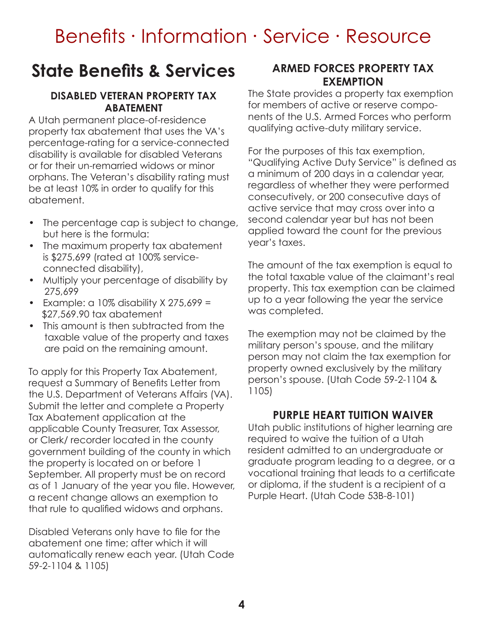# **State Benefits & Services**

#### **DISABLED VETERAN PROPERTY TAX ABATEMENT**

A Utah permanent place-of-residence property tax abatement that uses the VA's percentage-rating for a service-connected disability is available for disabled Veterans or for their un-remarried widows or minor orphans. The Veteran's disability rating must be at least 10% in order to qualify for this abatement.

- The percentage cap is subject to change, but here is the formula:
- The maximum property tax abatement is \$275,699 (rated at 100% serviceconnected disability),
- Multiply your percentage of disability by 275,699
- Example: a  $10\%$  disability X 275,699 = \$27,569.90 tax abatement
- This amount is then subtracted from the taxable value of the property and taxes are paid on the remaining amount.

To apply for this Property Tax Abatement, request a Summary of Benefits Letter from the U.S. Department of Veterans Affairs (VA). Submit the letter and complete a Property Tax Abatement application at the applicable County Treasurer, Tax Assessor, or Clerk/ recorder located in the county government building of the county in which the property is located on or before 1 September. All property must be on record as of 1 January of the year you file. However, a recent change allows an exemption to that rule to qualified widows and orphans.

Disabled Veterans only have to file for the abatement one time; after which it will automatically renew each year. (Utah Code 59-2-1104 & 1105)

#### **ARMED FORCES PROPERTY TAX EXEMPTION**

The State provides a property tax exemption for members of active or reserve components of the U.S. Armed Forces who perform qualifying active-duty military service.

For the purposes of this tax exemption, "Qualifying Active Duty Service" is defined as a minimum of 200 days in a calendar year, regardless of whether they were performed consecutively, or 200 consecutive days of active service that may cross over into a second calendar year but has not been applied toward the count for the previous year's taxes.

The amount of the tax exemption is equal to the total taxable value of the claimant's real property. This tax exemption can be claimed up to a year following the year the service was completed.

The exemption may not be claimed by the military person's spouse, and the military person may not claim the tax exemption for property owned exclusively by the military person's spouse. (Utah Code 59-2-1104 & 1105)

### **PURPLE HEART TUITION WAIVER**

Utah public institutions of higher learning are required to waive the tuition of a Utah resident admitted to an undergraduate or graduate program leading to a degree, or a vocational training that leads to a certificate or diploma, if the student is a recipient of a Purple Heart. (Utah Code 53B-8-101)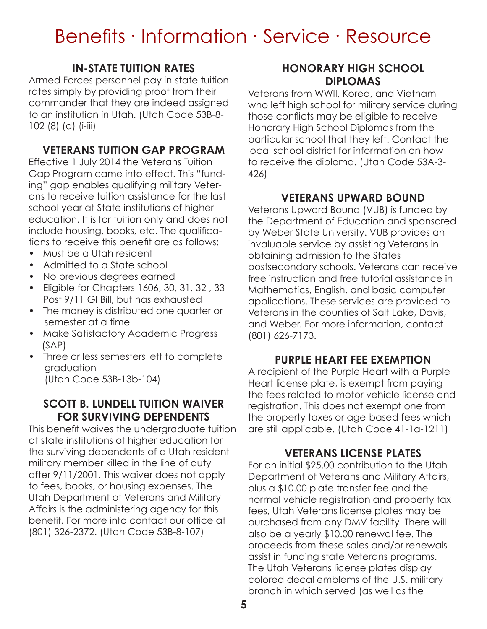# **IN-STATE TUITION RATES**

Armed Forces personnel pay in-state tuition rates simply by providing proof from their commander that they are indeed assigned to an institution in Utah. (Utah Code 53B-8- 102 (8) (d) (i-iii)

# **VETERANS TUITION GAP PROGRAM**

Effective 1 July 2014 the Veterans Tuition Gap Program came into effect. This "funding" gap enables qualifying military Veterans to receive tuition assistance for the last school year at State institutions of higher education. It is for tuition only and does not include housing, books, etc. The qualifications to receive this benefit are as follows:

- Must be a Utah resident
- Admitted to a State school
- No previous degrees earned
- Eligible for Chapters 1606, 30, 31, 32 , 33 Post 9/11 GI Bill, but has exhausted
- The money is distributed one quarter or semester at a time
- Make Satisfactory Academic Progress (SAP)
- Three or less semesters left to complete graduation (Utah Code 53B-13b-104)

#### **SCOTT B. LUNDELL TUITION WAIVER FOR SURVIVING DEPENDENTS**

This benefit waives the undergraduate tuition at state institutions of higher education for the surviving dependents of a Utah resident military member killed in the line of duty after 9/11/2001. This waiver does not apply to fees, books, or housing expenses. The Utah Department of Veterans and Military Affairs is the administering agency for this benefit. For more info contact our office at (801) 326-2372. (Utah Code 53B-8-107)

### **HONORARY HIGH SCHOOL DIPLOMAS**

Veterans from WWII, Korea, and Vietnam who left high school for military service during those conflicts may be eligible to receive Honorary High School Diplomas from the particular school that they left. Contact the local school district for information on how to receive the diploma. (Utah Code 53A-3- 426)

# **VETERANS UPWARD BOUND**

Veterans Upward Bound (VUB) is funded by the Department of Education and sponsored by Weber State University. VUB provides an invaluable service by assisting Veterans in obtaining admission to the States postsecondary schools. Veterans can receive free instruction and free tutorial assistance in Mathematics, English, and basic computer applications. These services are provided to Veterans in the counties of Salt Lake, Davis, and Weber. For more information, contact (801) 626-7173.

### **PURPLE HEART FEE EXEMPTION**

A recipient of the Purple Heart with a Purple Heart license plate, is exempt from paying the fees related to motor vehicle license and registration. This does not exempt one from the property taxes or age-based fees which are still applicable. (Utah Code 41-1a-1211)

### **VETERANS LICENSE PLATES**

For an initial \$25.00 contribution to the Utah Department of Veterans and Military Affairs, plus a \$10.00 plate transfer fee and the normal vehicle registration and property tax fees, Utah Veterans license plates may be purchased from any DMV facility. There will also be a yearly \$10.00 renewal fee. The proceeds from these sales and/or renewals assist in funding state Veterans programs. The Utah Veterans license plates display colored decal emblems of the U.S. military branch in which served (as well as the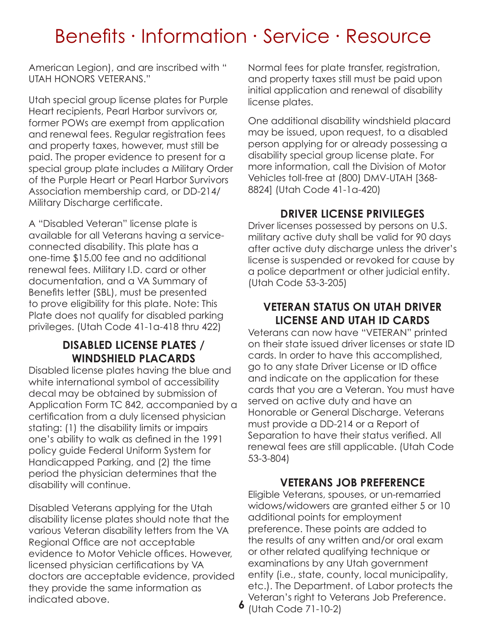American Legion), and are inscribed with " UTAH HONORS VETERANS."

Utah special group license plates for Purple Heart recipients, Pearl Harbor survivors or, former POWs are exempt from application and renewal fees. Regular registration fees and property taxes, however, must still be paid. The proper evidence to present for a special group plate includes a Military Order of the Purple Heart or Pearl Harbor Survivors Association membership card, or DD-214/ Military Discharge certificate.

A "Disabled Veteran" license plate is available for all Veterans having a serviceconnected disability. This plate has a one-time \$15.00 fee and no additional renewal fees. Military I.D. card or other documentation, and a VA Summary of Benefits letter (SBL), must be presented to prove eligibility for this plate. Note: This Plate does not qualify for disabled parking privileges. (Utah Code 41-1a-418 thru 422)

### **DISABLED LICENSE PLATES / WINDSHIELD PLACARDS**

Disabled license plates having the blue and white international symbol of accessibility decal may be obtained by submission of Application Form TC 842, accompanied by a certification from a duly licensed physician stating: (1) the disability limits or impairs one's ability to walk as defined in the 1991 policy guide Federal Uniform System for Handicapped Parking, and (2) the time period the physician determines that the disability will continue.

Disabled Veterans applying for the Utah disability license plates should note that the various Veteran disability letters from the VA Regional Office are not acceptable evidence to Motor Vehicle offices. However, licensed physician certifications by VA doctors are acceptable evidence, provided they provide the same information as indicated above.

Normal fees for plate transfer, registration, and property taxes still must be paid upon initial application and renewal of disability license plates.

One additional disability windshield placard may be issued, upon request, to a disabled person applying for or already possessing a disability special group license plate. For more information, call the Division of Motor Vehicles toll-free at (800) DMV-UTAH [368- 8824] (Utah Code 41-1a-420)

### **DRIVER LICENSE PRIVILEGES**

Driver licenses possessed by persons on U.S. military active duty shall be valid for 90 days after active duty discharge unless the driver's license is suspended or revoked for cause by a police department or other judicial entity. (Utah Code 53-3-205)

### **VETERAN STATUS ON UTAH DRIVER LICENSE AND UTAH ID CARDS**

Veterans can now have "VETERAN" printed on their state issued driver licenses or state ID cards. In order to have this accomplished, go to any state Driver License or ID office and indicate on the application for these cards that you are a Veteran. You must have served on active duty and have an Honorable or General Discharge. Veterans must provide a DD-214 or a Report of Separation to have their status verified. All renewal fees are still applicable. (Utah Code 53-3-804)

#### **VETERANS JOB PREFERENCE**

Eligible Veterans, spouses, or un-remarried widows/widowers are granted either 5 or 10 additional points for employment preference. These points are added to the results of any written and/or oral exam or other related qualifying technique or examinations by any Utah government entity (i.e., state, county, local municipality, etc.). The Department. of Labor protects the Veteran's right to Veterans Job Preference.

**6** (Utah Code 71-10-2)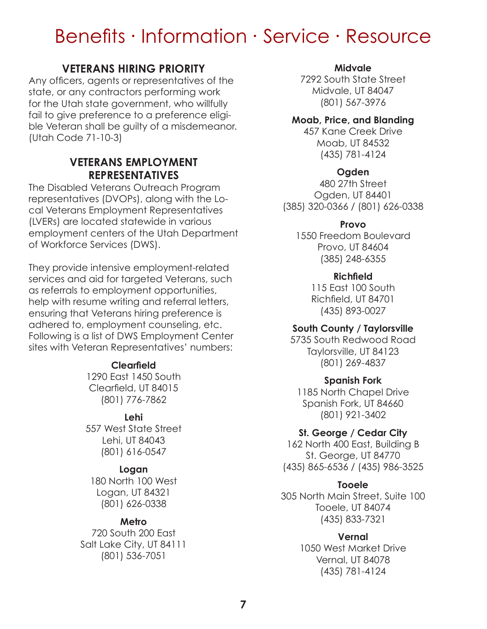### **VETERANS HIRING PRIORITY**

Any officers, agents or representatives of the state, or any contractors performing work for the Utah state government, who willfully fail to give preference to a preference eligible Veteran shall be guilty of a misdemeanor. (Utah Code 71-10-3)

### **VETERANS EMPLOYMENT REPRESENTATIVES**

The Disabled Veterans Outreach Program representatives (DVOPs), along with the Local Veterans Employment Representatives (LVERs) are located statewide in various employment centers of the Utah Department of Workforce Services (DWS).

They provide intensive employment-related services and aid for targeted Veterans, such as referrals to employment opportunities, help with resume writing and referral letters, ensuring that Veterans hiring preference is adhered to, employment counseling, etc. Following is a list of DWS Employment Center sites with Veteran Representatives' numbers:

#### **Clearfield**

1290 East 1450 South Clearfield, UT 84015 (801) 776-7862

#### **Lehi**

557 West State Street Lehi, UT 84043 (801) 616-0547

#### **Logan**

180 North 100 West Logan, UT 84321 (801) 626-0338

#### **Metro**

720 South 200 East Salt Lake City, UT 84111 (801) 536-7051

#### **Midvale**

7292 South State Street Midvale, UT 84047 (801) 567-3976

#### **Moab, Price, and Blanding**

457 Kane Creek Drive Moab, UT 84532 (435) 781-4124

#### **Ogden**

480 27th Street Ogden, UT 84401 (385) 320-0366 / (801) 626-0338

#### **Provo**

1550 Freedom Boulevard Provo, UT 84604 (385) 248-6355

#### **Richfield**

115 East 100 South Richfield, UT 84701 (435) 893-0027

#### **South County / Taylorsville**

5735 South Redwood Road Taylorsville, UT 84123 (801) 269-4837

#### **Spanish Fork**

1185 North Chapel Drive Spanish Fork, UT 84660 (801) 921-3402

#### **St. George / Cedar City**

162 North 400 East, Building B St. George, UT 84770 (435) 865-6536 / (435) 986-3525

#### **Tooele**

305 North Main Street, Suite 100 Tooele, UT 84074 (435) 833-7321

#### **Vernal**

1050 West Market Drive Vernal, UT 84078 (435) 781-4124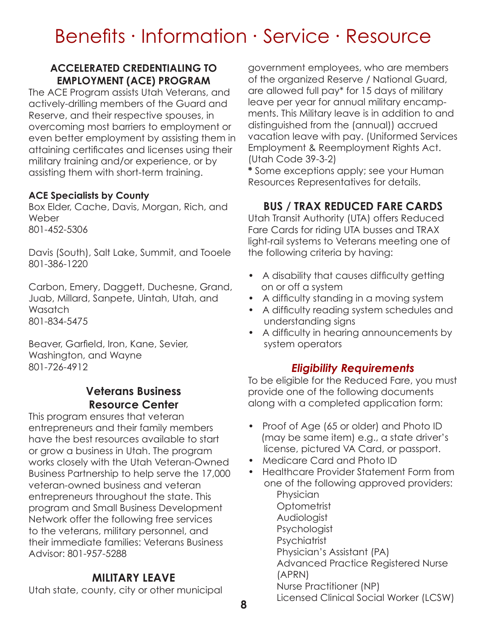#### **ACCELERATED CREDENTIALING TO EMPLOYMENT (ACE) PROGRAM**

The ACE Program assists Utah Veterans, and actively-drilling members of the Guard and Reserve, and their respective spouses, in overcoming most barriers to employment or even better employment by assisting them in attaining certificates and licenses using their military training and/or experience, or by assisting them with short-term training.

#### **ACE Specialists by County**

Box Elder, Cache, Davis, Morgan, Rich, and **Weber** 801-452-5306

Davis (South), Salt Lake, Summit, and Tooele 801-386-1220

Carbon, Emery, Daggett, Duchesne, Grand, Juab, Millard, Sanpete, Uintah, Utah, and **Wasatch** 801-834-5475

Beaver, Garfield, Iron, Kane, Sevier, Washington, and Wayne 801-726-4912

# **Veterans Business Resource Center**

This program ensures that veteran entrepreneurs and their family members have the best resources available to start or grow a business in Utah. The program works closely with the Utah Veteran-Owned Business Partnership to help serve the 17,000 veteran-owned business and veteran entrepreneurs throughout the state. This program and Small Business Development Network offer the following free services to the veterans, military personnel, and their immediate families: Veterans Business Advisor: 801-957-5288

# **MILITARY LEAVE**

Utah state, county, city or other municipal

government employees, who are members of the organized Reserve / National Guard, are allowed full pay\* for 15 days of military leave per year for annual military encampments. This Military leave is in addition to and distinguished from the (annual)) accrued vacation leave with pay. (Uniformed Services Employment & Reemployment Rights Act. (Utah Code 39-3-2)

**\*** Some exceptions apply; see your Human Resources Representatives for details.

# **BUS / TRAX REDUCED FARE CARDS**

Utah Transit Authority (UTA) offers Reduced Fare Cards for riding UTA busses and TRAX light-rail systems to Veterans meeting one of the following criteria by having:

- A disability that causes difficulty getting on or off a system
- A difficulty standing in a moving system
- A difficulty reading system schedules and understanding signs
- A difficulty in hearing announcements by system operators

### *Eligibility Requirements*

To be eligible for the Reduced Fare, you must provide one of the following documents along with a completed application form:

- Proof of Age (65 or older) and Photo ID (may be same item) e.g., a state driver's license, pictured VA Card, or passport.
- Medicare Card and Photo ID
- Healthcare Provider Statement Form from one of the following approved providers: Physician **Optometrist** Audiologist **Psychologist Psychiatrist** Physician's Assistant (PA) Advanced Practice Registered Nurse (APRN) Nurse Practitioner (NP) Licensed Clinical Social Worker (LCSW)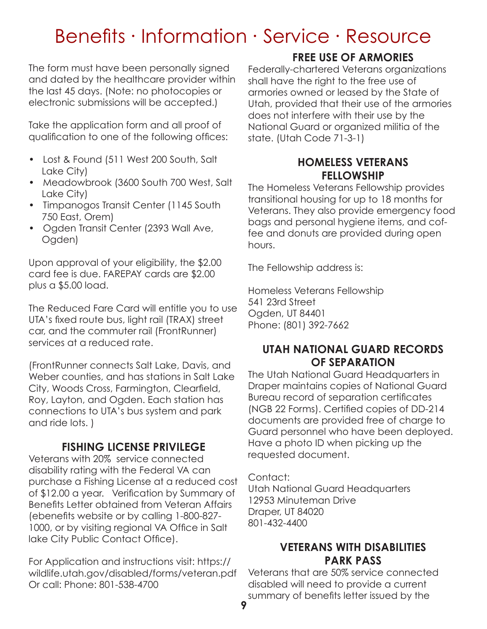The form must have been personally signed and dated by the healthcare provider within the last 45 days. (Note: no photocopies or electronic submissions will be accepted.)

Take the application form and all proof of qualification to one of the following offices:

- Lost & Found (511 West 200 South, Salt Lake City)
- Meadowbrook (3600 South 700 West, Salt Lake City)
- Timpanogos Transit Center (1145 South 750 East, Orem)
- Ogden Transit Center (2393 Wall Ave, Ogden)

Upon approval of your eligibility, the \$2.00 card fee is due. FAREPAY cards are \$2.00 plus a \$5.00 load.

The Reduced Fare Card will entitle you to use UTA's fixed route bus, light rail (TRAX) street car, and the commuter rail (FrontRunner) services at a reduced rate.

(FrontRunner connects Salt Lake, Davis, and Weber counties, and has stations in Salt Lake City, Woods Cross, Farmington, Clearfield, Roy, Layton, and Ogden. Each station has connections to UTA's bus system and park and ride lots. )

# **FISHING LICENSE PRIVILEGE**

Veterans with 20% service connected disability rating with the Federal VA can purchase a Fishing License at a reduced cost of \$12.00 a year. Verification by Summary of Benefits Letter obtained from Veteran Affairs (ebenefits website or by calling 1-800-827- 1000, or by visiting regional VA Office in Salt lake City Public Contact Office).

For Application and instructions visit: https:// wildlife.utah.gov/disabled/forms/veteran.pdf Or call: Phone: 801-538-4700

# **FREE USE OF ARMORIES**

Federally-chartered Veterans organizations shall have the right to the free use of armories owned or leased by the State of Utah, provided that their use of the armories does not interfere with their use by the National Guard or organized militia of the state. (Utah Code 71-3-1)

### **HOMELESS VETERANS FELLOWSHIP**

The Homeless Veterans Fellowship provides transitional housing for up to 18 months for Veterans. They also provide emergency food bags and personal hygiene items, and coffee and donuts are provided during open hours.

The Fellowship address is:

Homeless Veterans Fellowship 541 23rd Street Ogden, UT 84401 Phone: (801) 392-7662

### **UTAH NATIONAL GUARD RECORDS OF SEPARATION**

The Utah National Guard Headquarters in Draper maintains copies of National Guard Bureau record of separation certificates (NGB 22 Forms). Certified copies of DD-214 documents are provided free of charge to Guard personnel who have been deployed. Have a photo ID when picking up the requested document.

Contact:

Utah National Guard Headquarters 12953 Minuteman Drive Draper, UT 84020 801-432-4400

### **VETERANS WITH DISABILITIES PARK PASS**

Veterans that are 50% service connected disabled will need to provide a current summary of benefits letter issued by the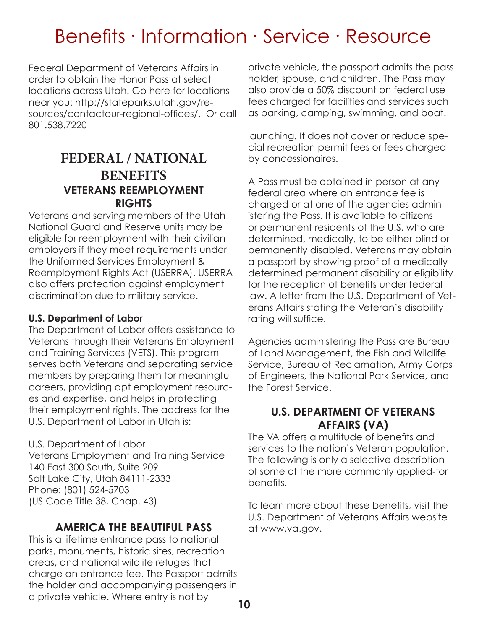Federal Department of Veterans Affairs in order to obtain the Honor Pass at select locations across Utah. Go here for locations near you: http://stateparks.utah.gov/resources/contactour-regional-offices/. Or call 801.538.7220

# **VETERANS REEMPLOYMENT RIGHTS FEDERAL / NATIONAL BENEFITS**

Veterans and serving members of the Utah National Guard and Reserve units may be eligible for reemployment with their civilian employers if they meet requirements under the Uniformed Services Employment & Reemployment Rights Act (USERRA). USERRA also offers protection against employment discrimination due to military service.

#### **U.S. Department of Labor**

The Department of Labor offers assistance to Veterans through their Veterans Employment and Training Services (VETS). This program serves both Veterans and separating service members by preparing them for meaningful careers, providing apt employment resources and expertise, and helps in protecting their employment rights. The address for the U.S. Department of Labor in Utah is:

U.S. Department of Labor Veterans Employment and Training Service 140 East 300 South, Suite 209 Salt Lake City, Utah 84111-2333 Phone: (801) 524-5703 (US Code Title 38, Chap. 43)

# **AMERICA THE BEAUTIFUL PASS**

This is a lifetime entrance pass to national parks, monuments, historic sites, recreation areas, and national wildlife refuges that charge an entrance fee. The Passport admits the holder and accompanying passengers in a private vehicle. Where entry is not by

private vehicle, the passport admits the pass holder, spouse, and children. The Pass may also provide a 50% discount on federal use fees charged for facilities and services such as parking, camping, swimming, and boat.

launching. It does not cover or reduce special recreation permit fees or fees charged by concessionaires.

A Pass must be obtained in person at any federal area where an entrance fee is charged or at one of the agencies administering the Pass. It is available to citizens or permanent residents of the U.S. who are determined, medically, to be either blind or permanently disabled. Veterans may obtain a passport by showing proof of a medically determined permanent disability or eligibility for the reception of benefits under federal law. A letter from the U.S. Department of Veterans Affairs stating the Veteran's disability rating will suffice.

Agencies administering the Pass are Bureau of Land Management, the Fish and Wildlife Service, Bureau of Reclamation, Army Corps of Engineers, the National Park Service, and the Forest Service.

#### **U.S. DEPARTMENT OF VETERANS AFFAIRS (VA)**

The VA offers a multitude of benefits and services to the nation's Veteran population. The following is only a selective description of some of the more commonly applied-for benefits.

To learn more about these benefits, visit the U.S. Department of Veterans Affairs website at www.va.gov.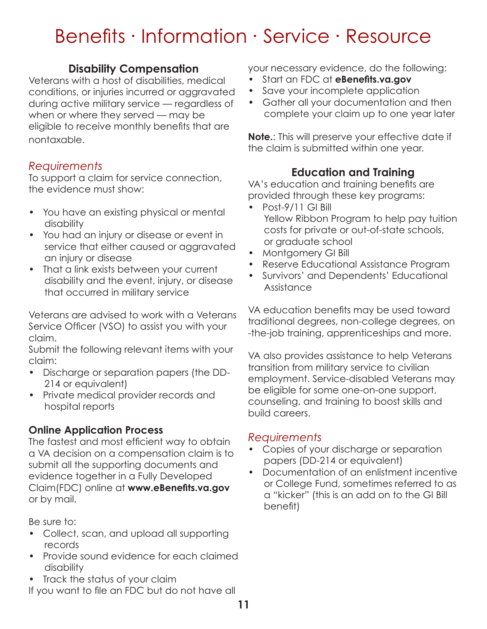# **Disability Compensation**

Veterans with a host of disabilities, medical conditions, or injuries incurred or aggravated during active military service — regardless of when or where they served — may be eligible to receive monthly benefits that are nontaxable.

# *Requirements*

To support a claim for service connection, the evidence must show:

- You have an existing physical or mental disability
- You had an injury or disease or event in service that either caused or aggravated an injury or disease
- That a link exists between your current disability and the event, injury, or disease that occurred in military service

Veterans are advised to work with a Veterans Service Officer (VSO) to assist you with your claim.

Submit the following relevant items with your claim:

- Discharge or separation papers (the DD- 214 or equivalent)
- Private medical provider records and hospital reports

# **Online Application Process**

The fastest and most efficient way to obtain a VA decision on a compensation claim is to submit all the supporting documents and evidence together in a Fully Developed Claim(FDC) online at **www.eBenefits.va.gov** or by mail.

Be sure to:

- Collect, scan, and upload all supporting records
- Provide sound evidence for each claimed disability
- Track the status of your claim

If you want to file an FDC but do not have all

your necessary evidence, do the following:

- Start an FDC at **eBenefits.va.gov**
- Save your incomplete application
- Gather all your documentation and then complete your claim up to one year later

**Note.**: This will preserve your effective date if the claim is submitted within one year.

# **Education and Training**

VA's education and training benefits are provided through these key programs:

- Post-9/11 GI Bill Yellow Ribbon Program to help pay tuition costs for private or out-of-state schools, or graduate school
- Montgomery GI Bill
- Reserve Educational Assistance Program
- Survivors' and Dependents' Educational Assistance

VA education benefits may be used toward traditional degrees, non-college degrees, on -the-job training, apprenticeships and more.

VA also provides assistance to help Veterans transition from military service to civilian employment. Service-disabled Veterans may be eligible for some one-on-one support, counseling, and training to boost skills and build careers.

# *Requirements*

- Copies of your discharge or separation papers (DD-214 or equivalent)
- Documentation of an enlistment incentive or College Fund, sometimes referred to as a "kicker" (this is an add on to the GI Bill benefit)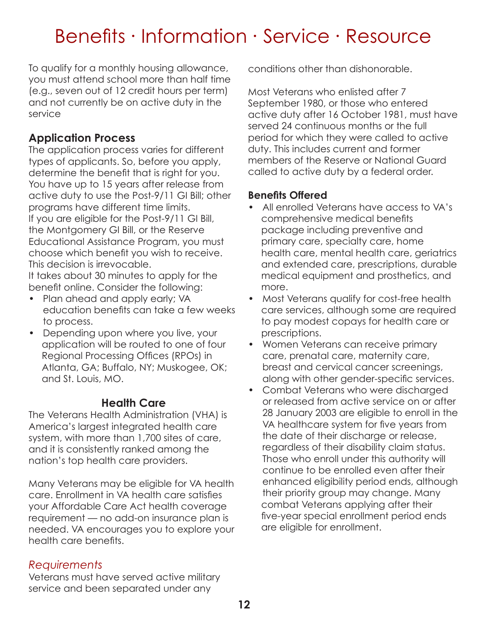To qualify for a monthly housing allowance, you must attend school more than half time (e.g., seven out of 12 credit hours per term) and not currently be on active duty in the service

# **Application Process**

The application process varies for different types of applicants. So, before you apply, determine the benefit that is right for you. You have up to 15 years after release from active duty to use the Post-9/11 GI Bill; other programs have different time limits. If you are eligible for the Post-9/11 GI Bill, the Montgomery GI Bill, or the Reserve Educational Assistance Program, you must choose which benefit you wish to receive. This decision is irrevocable.

It takes about 30 minutes to apply for the benefit online. Consider the following:

- Plan ahead and apply early; VA education benefits can take a few weeks to process.
- Depending upon where you live, your application will be routed to one of four Regional Processing Offices (RPOs) in Atlanta, GA; Buffalo, NY; Muskogee, OK; and St. Louis, MO.

### **Health Care**

The Veterans Health Administration (VHA) is America's largest integrated health care system, with more than 1,700 sites of care, and it is consistently ranked among the nation's top health care providers.

Many Veterans may be eligible for VA health care. Enrollment in VA health care satisfies your Affordable Care Act health coverage requirement — no add-on insurance plan is needed. VA encourages you to explore your health care benefits.

# *Requirements*

Veterans must have served active military service and been separated under any

conditions other than dishonorable.

Most Veterans who enlisted after 7 September 1980, or those who entered active duty after 16 October 1981, must have served 24 continuous months or the full period for which they were called to active duty. This includes current and former members of the Reserve or National Guard called to active duty by a federal order.

#### **Benefits Offered**

- All enrolled Veterans have access to VA's comprehensive medical benefits package including preventive and primary care, specialty care, home health care, mental health care, geriatrics and extended care, prescriptions, durable medical equipment and prosthetics, and more.
- Most Veterans qualify for cost-free health care services, although some are required to pay modest copays for health care or prescriptions.
- Women Veterans can receive primary care, prenatal care, maternity care, breast and cervical cancer screenings, along with other gender-specific services.
- Combat Veterans who were discharged or released from active service on or after 28 January 2003 are eligible to enroll in the VA healthcare system for five years from the date of their discharge or release, regardless of their disability claim status. Those who enroll under this authority will continue to be enrolled even after their enhanced eligibility period ends, although their priority group may change. Many combat Veterans applying after their five-year special enrollment period ends are eligible for enrollment.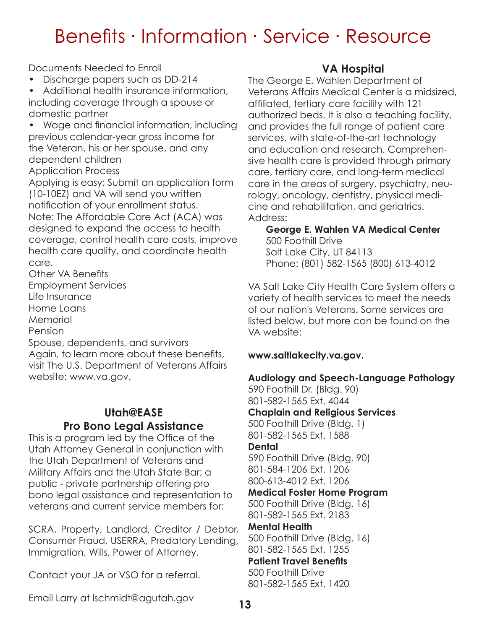Documents Needed to Enroll

• Discharge papers such as DD-214

• Additional health insurance information, including coverage through a spouse or domestic partner

• Wage and financial information, including previous calendar-year gross income for the Veteran, his or her spouse, and any dependent children Application Process

Applying is easy: Submit an application form (10-10EZ) and VA will send you written notification of your enrollment status. Note: The Affordable Care Act (ACA) was designed to expand the access to health coverage, control health care costs, improve health care quality, and coordinate health care.

Other VA Benefits Employment Services

Life Insurance

Home Loans

**Memorial** 

Pension

Spouse, dependents, and survivors Again, to learn more about these benefits, visit The U.S. Department of Veterans Affairs website: www.va.gov.

# **Utah@EASE Pro Bono Legal Assistance**

This is a program led by the Office of the Utah Attorney General in conjunction with the Utah Department of Veterans and Military Affairs and the Utah State Bar; a public - private partnership offering pro bono legal assistance and representation to veterans and current service members for:

SCRA, Property, Landlord, Creditor / Debtor, Consumer Fraud, USERRA, Predatory Lending, Immigration, Wills, Power of Attorney.

Contact your JA or VSO for a referral.

Email Larry at lschmidt@agutah.gov

# **VA Hospital**

The George E. Wahlen Department of Veterans Affairs Medical Center is a midsized, affiliated, tertiary care facility with 121 authorized beds. It is also a teaching facility, and provides the full range of patient care services, with state-of-the-art technology and education and research. Comprehensive health care is provided through primary care, tertiary care, and long-term medical care in the areas of surgery, psychiatry, neurology, oncology, dentistry, physical medicine and rehabilitation, and geriatrics. Address:

**George E. Wahlen VA Medical Center** 500 Foothill Drive Salt Lake City, UT 84113 Phone: (801) 582-1565 (800) 613-4012

VA Salt Lake City Health Care System offers a variety of health services to meet the needs of our nation's Veterans. Some services are listed below, but more can be found on the VA website:

### **www.saltlakecity.va.gov.**

**Audiology and Speech-Language Pathology** 590 Foothill Dr. (Bldg. 90) 801-582-1565 Ext. 4044 **Chaplain and Religious Services** 500 Foothill Drive (Bldg. 1) 801-582-1565 Ext. 1588 **Dental** 590 Foothill Drive (Bldg. 90) 801-584-1206 Ext. 1206 800-613-4012 Ext. 1206 **Medical Foster Home Program** 500 Foothill Drive (Bldg. 16) 801-582-1565 Ext. 2183 **Mental Health** 500 Foothill Drive (Bldg. 16) 801-582-1565 Ext. 1255 **Patient Travel Benefits** 500 Foothill Drive 801-582-1565 Ext. 1420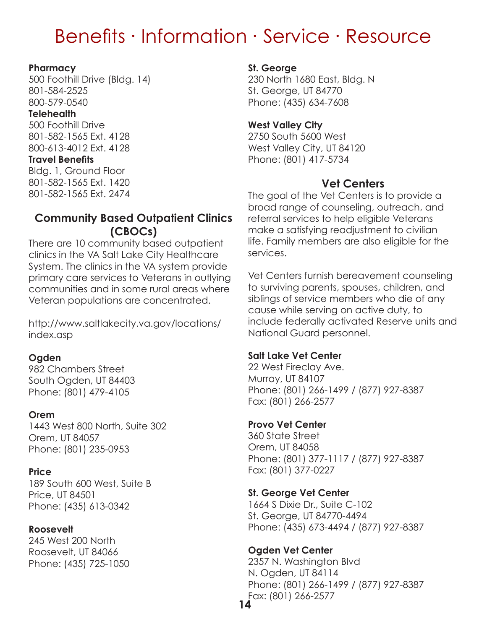#### **Pharmacy**

500 Foothill Drive (Bldg. 14) 801-584-2525 800-579-0540

#### **Telehealth**

500 Foothill Drive 801-582-1565 Ext. 4128 800-613-4012 Ext. 4128

#### **Travel Benefits**

Bldg. 1, Ground Floor 801-582-1565 Ext. 1420 801-582-1565 Ext. 2474

### **Community Based Outpatient Clinics (CBOCs)**

There are 10 community based outpatient clinics in the VA Salt Lake City Healthcare System. The clinics in the VA system provide primary care services to Veterans in outlying communities and in some rural areas where Veteran populations are concentrated.

http://www.saltlakecity.va.gov/locations/ index.asp

#### **Ogden**

982 Chambers Street South Ogden, UT 84403 Phone: (801) 479-4105

#### **Orem**

1443 West 800 North, Suite 302 Orem, UT 84057 Phone: (801) 235-0953

#### **Price**

189 South 600 West, Suite B Price, UT 84501 Phone: (435) 613-0342

#### **Roosevelt**

245 West 200 North Roosevelt, UT 84066 Phone: (435) 725-1050

#### **St. George**

230 North 1680 East, Bldg. N St. George, UT 84770 Phone: (435) 634-7608

#### **West Valley City**

2750 South 5600 West West Valley City, UT 84120 Phone: (801) 417-5734

# **Vet Centers**

The goal of the Vet Centers is to provide a broad range of counseling, outreach, and referral services to help eligible Veterans make a satisfying readjustment to civilian life. Family members are also eligible for the services.

Vet Centers furnish bereavement counseling to surviving parents, spouses, children, and siblings of service members who die of any cause while serving on active duty, to include federally activated Reserve units and National Guard personnel.

#### **Salt Lake Vet Center**

22 West Fireclay Ave. Murray, UT 84107 Phone: (801) 266-1499 / (877) 927-8387 Fax: (801) 266-2577

#### **Provo Vet Center**

360 State Street Orem, UT 84058 Phone: (801) 377-1117 / (877) 927-8387 Fax: (801) 377-0227

#### **St. George Vet Center**

1664 S Dixie Dr., Suite C-102 St. George, UT 84770-4494 Phone: (435) 673-4494 / (877) 927-8387

### **Ogden Vet Center**

**14** 2357 N. Washington Blvd N. Ogden, UT 84114 Phone: (801) 266-1499 / (877) 927-8387 Fax: (801) 266-2577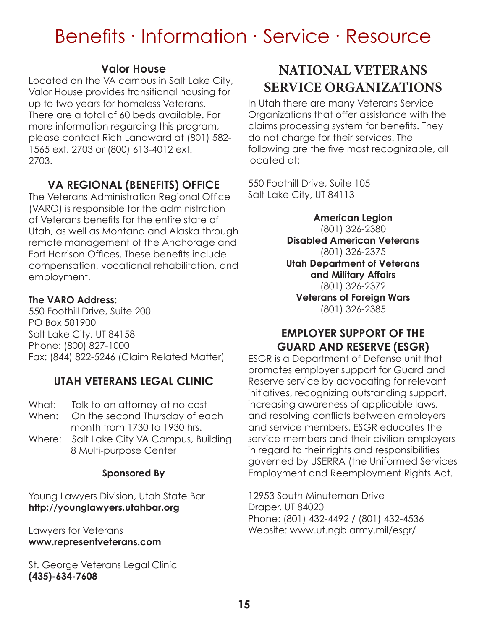### **Valor House**

Located on the VA campus in Salt Lake City, Valor House provides transitional housing for up to two years for homeless Veterans. There are a total of 60 beds available. For more information regarding this program, please contact Rich Landward at (801) 582- 1565 ext. 2703 or (800) 613-4012 ext. 2703.

# **VA REGIONAL (BENEFITS) OFFICE**

The Veterans Administration Regional Office (VARO) is responsible for the administration of Veterans benefits for the entire state of Utah, as well as Montana and Alaska through remote management of the Anchorage and Fort Harrison Offices. These benefits include compensation, vocational rehabilitation, and employment.

#### **The VARO Address:**

550 Foothill Drive, Suite 200 PO Box 581900 Salt Lake City, UT 84158 Phone: (800) 827-1000 Fax: (844) 822-5246 (Claim Related Matter)

# **UTAH VETERANS LEGAL CLINIC**

- What: Talk to an attorney at no cost
- When: On the second Thursday of each month from 1730 to 1930 hrs.
- Where: Salt Lake City VA Campus, Building 8 Multi-purpose Center

### **Sponsored By**

Young Lawyers Division, Utah State Bar **http://younglawyers.utahbar.org**

Lawyers for Veterans **www.representveterans.com**

St. George Veterans Legal Clinic **(435)-634-7608**

# **NATIONAL VETERANS SERVICE ORGANIZATIONS**

In Utah there are many Veterans Service Organizations that offer assistance with the claims processing system for benefits. They do not charge for their services. The following are the five most recognizable, all located at:

550 Foothill Drive, Suite 105 Salt Lake City, UT 84113

> **American Legion** (801) 326-2380 **Disabled American Veterans** (801) 326-2375 **Utah Department of Veterans and Military Affairs** (801) 326-2372 **Veterans of Foreign Wars** (801) 326-2385

# **EMPLOYER SUPPORT OF THE GUARD AND RESERVE (ESGR)**

ESGR is a Department of Defense unit that promotes employer support for Guard and Reserve service by advocating for relevant initiatives, recognizing outstanding support, increasing awareness of applicable laws, and resolving conflicts between employers and service members. ESGR educates the service members and their civilian employers in regard to their rights and responsibilities governed by USERRA (the Uniformed Services Employment and Reemployment Rights Act.

12953 South Minuteman Drive Draper, UT 84020 Phone: (801) 432-4492 / (801) 432-4536 Website: www.ut.ngb.army.mil/esgr/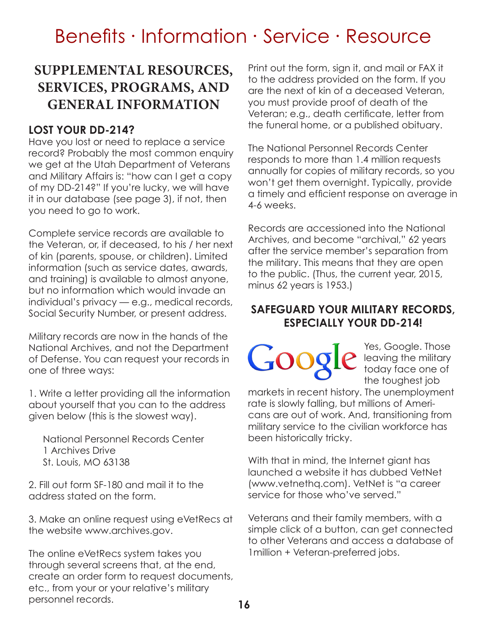# **SUPPLEMENTAL RESOURCES, SERVICES, PROGRAMS, AND GENERAL INFORMATION**

### **LOST YOUR DD-214?**

Have you lost or need to replace a service record? Probably the most common enquiry we get at the Utah Department of Veterans and Military Affairs is: "how can I get a copy of my DD-214?" If you're lucky, we will have it in our database (see page 3), if not, then you need to go to work.

Complete service records are available to the Veteran, or, if deceased, to his / her next of kin (parents, spouse, or children). Limited information (such as service dates, awards, and training) is available to almost anyone, but no information which would invade an individual's privacy — e.g., medical records, Social Security Number, or present address.

Military records are now in the hands of the National Archives, and not the Department of Defense. You can request your records in one of three ways:

1. Write a letter providing all the information about yourself that you can to the address given below (this is the slowest way).

National Personnel Records Center 1 Archives Drive St. Louis, MO 63138

2. Fill out form SF-180 and mail it to the address stated on the form.

3. Make an online request using eVetRecs at the website www.archives.gov.

The online eVetRecs system takes you through several screens that, at the end, create an order form to request documents, etc., from your or your relative's military personnel records.

Print out the form, sign it, and mail or FAX it to the address provided on the form. If you are the next of kin of a deceased Veteran, you must provide proof of death of the Veteran; e.g., death certificate, letter from the funeral home, or a published obituary.

The National Personnel Records Center responds to more than 1.4 million requests annually for copies of military records, so you won't get them overnight. Typically, provide a timely and efficient response on average in 4-6 weeks.

Records are accessioned into the National Archives, and become "archival," 62 years after the service member's separation from the military. This means that they are open to the public. (Thus, the current year, 2015, minus 62 years is 1953.)

### **SAFEGUARD YOUR MILITARY RECORDS, ESPECIALLY YOUR DD-214!**

Yes, Google. Those leaving the military today face one of the toughest job

markets in recent history. The unemployment rate is slowly falling, but millions of Americans are out of work. And, transitioning from military service to the civilian workforce has been historically tricky.

With that in mind, the Internet giant has launched a website it has dubbed VetNet (www.vetnethq.com). VetNet is "a career service for those who've served."

Veterans and their family members, with a simple click of a button, can get connected to other Veterans and access a database of 1million + Veteran-preferred jobs.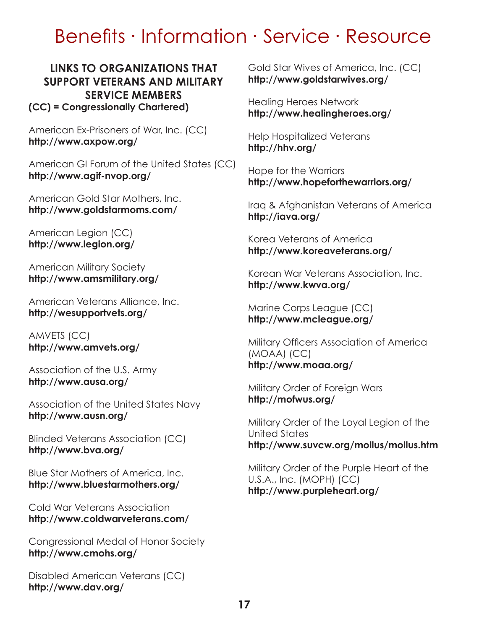#### **LINKS TO ORGANIZATIONS THAT SUPPORT VETERANS AND MILITARY SERVICE MEMBERS (CC) = Congressionally Chartered)**

American Ex-Prisoners of War, Inc. (CC) **http://www.axpow.org/**

American GI Forum of the United States (CC) **http://www.agif-nvop.org/**

American Gold Star Mothers, Inc. **http://www.goldstarmoms.com/**

American Legion (CC) **http://www.legion.org/**

American Military Society **http://www.amsmilitary.org/**

American Veterans Alliance, Inc. **http://wesupportvets.org/**

AMVETS (CC) **http://www.amvets.org/**

Association of the U.S. Army **http://www.ausa.org/**

Association of the United States Navy **http://www.ausn.org/**

Blinded Veterans Association (CC) **http://www.bva.org/**

Blue Star Mothers of America, Inc. **http://www.bluestarmothers.org/**

Cold War Veterans Association **http://www.coldwarveterans.com/**

Congressional Medal of Honor Society **http://www.cmohs.org/**

Disabled American Veterans (CC) **http://www.dav.org/**

Gold Star Wives of America, Inc. (CC) **http://www.goldstarwives.org/**

Healing Heroes Network **http://www.healingheroes.org/**

Help Hospitalized Veterans **http://hhv.org/**

Hope for the Warriors **http://www.hopeforthewarriors.org/**

Iraq & Afghanistan Veterans of America **http://iava.org/**

Korea Veterans of America **http://www.koreaveterans.org/**

Korean War Veterans Association, Inc. **http://www.kwva.org/**

Marine Corps League (CC) **http://www.mcleague.org/**

Military Officers Association of America (MOAA) (CC) **http://www.moaa.org/**

Military Order of Foreign Wars **http://mofwus.org/**

Military Order of the Loyal Legion of the United States **http://www.suvcw.org/mollus/mollus.htm**

Military Order of the Purple Heart of the U.S.A., Inc. (MOPH) (CC) **http://www.purpleheart.org/**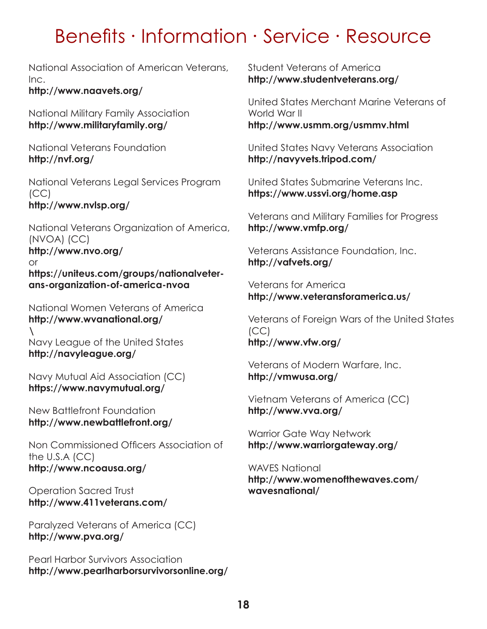National Association of American Veterans, Inc.

**http://www.naavets.org/**

National Military Family Association **http://www.militaryfamily.org/**

National Veterans Foundation **http://nvf.org/**

National Veterans Legal Services Program (CC) **http://www.nvlsp.org/**

National Veterans Organization of America, (NVOA) (CC) **http://www.nvo.org/** or **https://uniteus.com/groups/nationalveterans-organization-of-america-nvoa**

National Women Veterans of America **http://www.wvanational.org/ \** Navy League of the United States **http://navyleague.org/**

Navy Mutual Aid Association (CC) **https://www.navymutual.org/**

New Battlefront Foundation **http://www.newbattlefront.org/**

Non Commissioned Officers Association of the U.S.A (CC) **http://www.ncoausa.org/**

Operation Sacred Trust **http://www.411veterans.com/**

Paralyzed Veterans of America (CC) **http://www.pva.org/**

Pearl Harbor Survivors Association **http://www.pearlharborsurvivorsonline.org/** Student Veterans of America **http://www.studentveterans.org/**

United States Merchant Marine Veterans of World War II **http://www.usmm.org/usmmv.html**

United States Navy Veterans Association **http://navyvets.tripod.com/**

United States Submarine Veterans Inc. **https://www.ussvi.org/home.asp**

Veterans and Military Families for Progress **http://www.vmfp.org/**

Veterans Assistance Foundation, Inc. **http://vafvets.org/**

Veterans for America **http://www.veteransforamerica.us/**

Veterans of Foreign Wars of the United States (CC) **http://www.vfw.org/**

Veterans of Modern Warfare, Inc. **http://vmwusa.org/**

Vietnam Veterans of America (CC) **http://www.vva.org/**

Warrior Gate Way Network **http://www.warriorgateway.org/**

WAVES National **http://www.womenofthewaves.com/ wavesnational/**